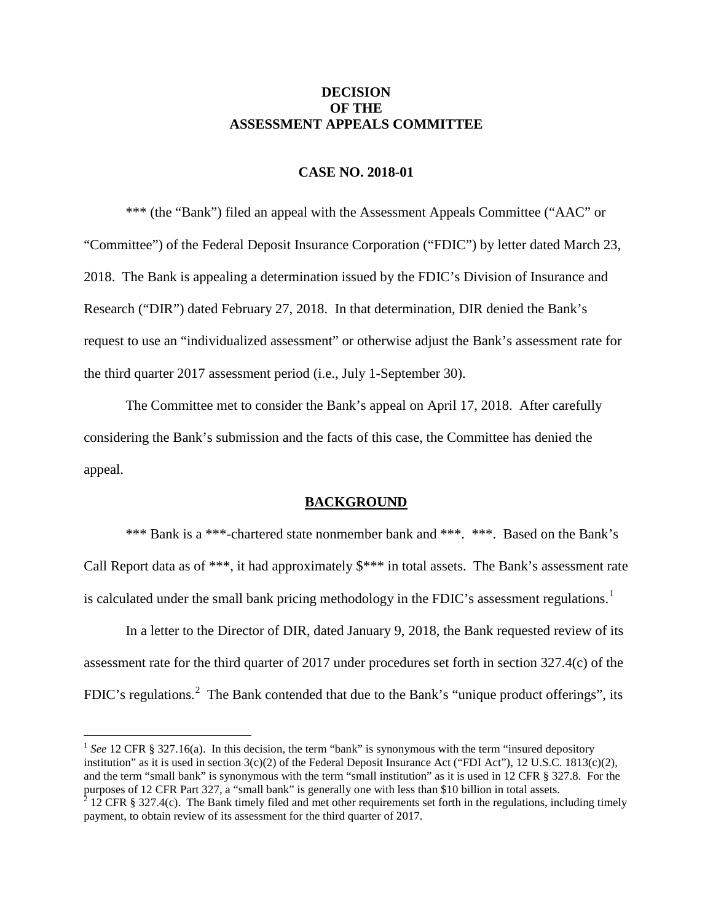# **DECISION OF THE ASSESSMENT APPEALS COMMITTEE**

## **CASE NO. 2018-01**

\*\*\* (the "Bank") filed an appeal with the Assessment Appeals Committee ("AAC" or "Committee") of the Federal Deposit Insurance Corporation ("FDIC") by letter dated March 23, 2018. The Bank is appealing a determination issued by the FDIC's Division of Insurance and Research ("DIR") dated February 27, 2018. In that determination, DIR denied the Bank's request to use an "individualized assessment" or otherwise adjust the Bank's assessment rate for the third quarter 2017 assessment period (i.e., July 1-September 30).

The Committee met to consider the Bank's appeal on April 17, 2018. After carefully considering the Bank's submission and the facts of this case, the Committee has denied the appeal.

#### **BACKGROUND**

\*\*\* Bank is a \*\*\*-chartered state nonmember bank and \*\*\*. \*\*\*. Based on the Bank's Call Report data as of \*\*\*, it had approximately \$\*\*\* in total assets. The Bank's assessment rate is calculated under the small bank pricing methodology in the FDIC's assessment regulations.<sup>[1](#page-0-0)</sup>

In a letter to the Director of DIR, dated January 9, 2018, the Bank requested review of its assessment rate for the third quarter of 2017 under procedures set forth in section 327.4(c) of the FDIC's regulations.<sup>[2](#page-0-1)</sup> The Bank contended that due to the Bank's "unique product offerings", its

<span id="page-0-0"></span><sup>1</sup> See 12 CFR § 327.16(a). In this decision, the term "bank" is synonymous with the term "insured depository institution" as it is used in section  $3(c)(2)$  of the Federal Deposit Insurance Act ("FDI Act"), 12 U.S.C. 1813(c)(2), and the term "small bank" is synonymous with the term "small institution" as it is used in 12 CFR § 327.8. For the purposes of 12 CFR Part 327, a "small bank" is generally one with less than \$10 billion in total assets.

<span id="page-0-1"></span><sup>&</sup>lt;sup>2</sup> 12 CFR § 327.4(c). The Bank timely filed and met other requirements set forth in the regulations, including timely payment, to obtain review of its assessment for the third quarter of 2017.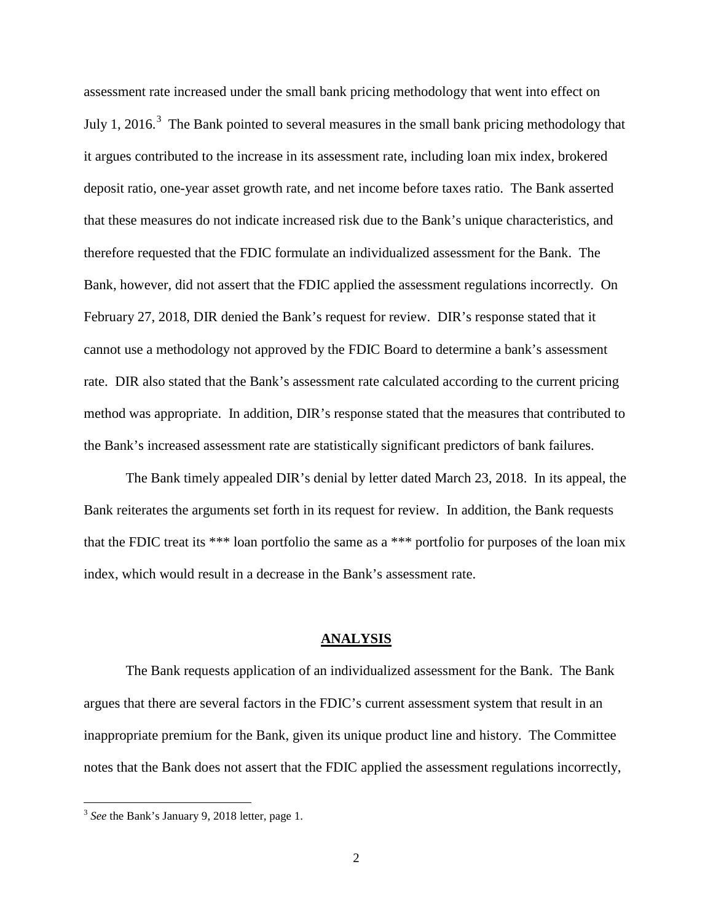assessment rate increased under the small bank pricing methodology that went into effect on July 1, 2016.<sup>[3](#page-1-0)</sup> The Bank pointed to several measures in the small bank pricing methodology that it argues contributed to the increase in its assessment rate, including loan mix index, brokered deposit ratio, one-year asset growth rate, and net income before taxes ratio. The Bank asserted that these measures do not indicate increased risk due to the Bank's unique characteristics, and therefore requested that the FDIC formulate an individualized assessment for the Bank. The Bank, however, did not assert that the FDIC applied the assessment regulations incorrectly. On February 27, 2018, DIR denied the Bank's request for review. DIR's response stated that it cannot use a methodology not approved by the FDIC Board to determine a bank's assessment rate. DIR also stated that the Bank's assessment rate calculated according to the current pricing method was appropriate. In addition, DIR's response stated that the measures that contributed to the Bank's increased assessment rate are statistically significant predictors of bank failures.

The Bank timely appealed DIR's denial by letter dated March 23, 2018. In its appeal, the Bank reiterates the arguments set forth in its request for review. In addition, the Bank requests that the FDIC treat its \*\*\* loan portfolio the same as a \*\*\* portfolio for purposes of the loan mix index, which would result in a decrease in the Bank's assessment rate.

#### **ANALYSIS**

The Bank requests application of an individualized assessment for the Bank. The Bank argues that there are several factors in the FDIC's current assessment system that result in an inappropriate premium for the Bank, given its unique product line and history. The Committee notes that the Bank does not assert that the FDIC applied the assessment regulations incorrectly,

<span id="page-1-0"></span> <sup>3</sup> *See* the Bank's January 9, 2018 letter, page 1.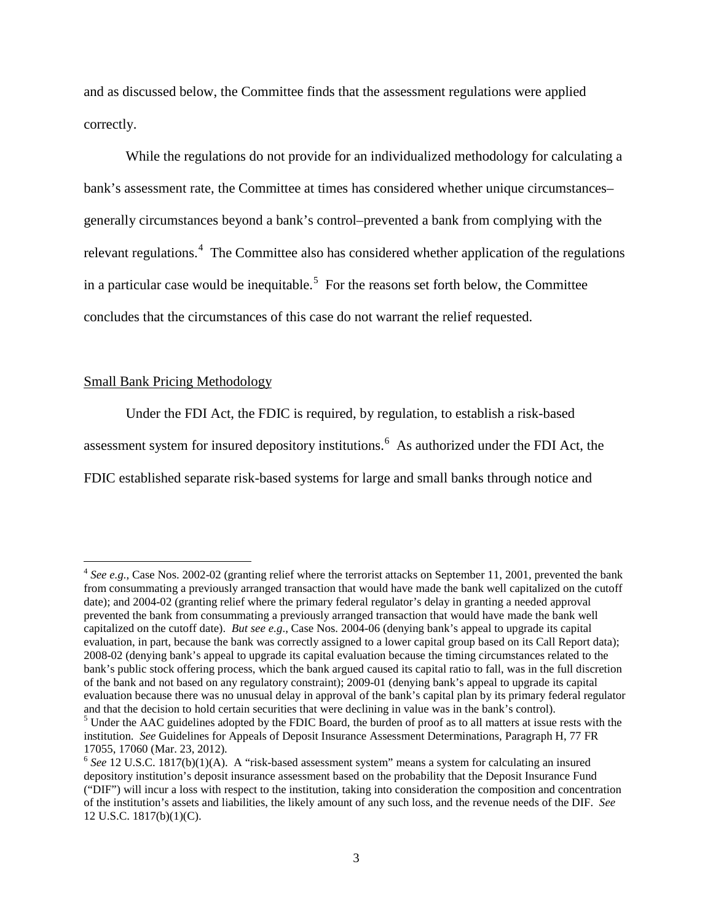and as discussed below, the Committee finds that the assessment regulations were applied correctly.

While the regulations do not provide for an individualized methodology for calculating a bank's assessment rate, the Committee at times has considered whether unique circumstances– generally circumstances beyond a bank's control–prevented a bank from complying with the relevant regulations.<sup>[4](#page-2-0)</sup> The Committee also has considered whether application of the regulations in a particular case would be inequitable.<sup>[5](#page-2-1)</sup> For the reasons set forth below, the Committee concludes that the circumstances of this case do not warrant the relief requested.

#### Small Bank Pricing Methodology

Under the FDI Act, the FDIC is required, by regulation, to establish a risk-based assessment system for insured depository institutions.<sup>[6](#page-2-2)</sup> As authorized under the FDI Act, the FDIC established separate risk-based systems for large and small banks through notice and

<span id="page-2-0"></span> <sup>4</sup> *See e.g.*, Case Nos. 2002-02 (granting relief where the terrorist attacks on September 11, 2001, prevented the bank from consummating a previously arranged transaction that would have made the bank well capitalized on the cutoff date); and 2004-02 (granting relief where the primary federal regulator's delay in granting a needed approval prevented the bank from consummating a previously arranged transaction that would have made the bank well capitalized on the cutoff date). *But see e.g*., Case Nos. 2004-06 (denying bank's appeal to upgrade its capital evaluation, in part, because the bank was correctly assigned to a lower capital group based on its Call Report data); 2008-02 (denying bank's appeal to upgrade its capital evaluation because the timing circumstances related to the bank's public stock offering process, which the bank argued caused its capital ratio to fall, was in the full discretion of the bank and not based on any regulatory constraint); 2009-01 (denying bank's appeal to upgrade its capital evaluation because there was no unusual delay in approval of the bank's capital plan by its primary federal regulator and that the decision to hold certain securities that were declining in value was in the bank's control)

<span id="page-2-1"></span> $3$  Under the AAC guidelines adopted by the FDIC Board, the burden of proof as to all matters at issue rests with the institution. *See* Guidelines for Appeals of Deposit Insurance Assessment Determinations, Paragraph H, 77 FR 17055, 17060 (Mar. 23, 2012).

<span id="page-2-2"></span><sup>&</sup>lt;sup>6</sup> See 12 U.S.C. 1817(b)(1)(A). A "risk-based assessment system" means a system for calculating an insured depository institution's deposit insurance assessment based on the probability that the Deposit Insurance Fund ("DIF") will incur a loss with respect to the institution, taking into consideration the composition and concentration of the institution's assets and liabilities, the likely amount of any such loss, and the revenue needs of the DIF. *See* 12 U.S.C. 1817(b)(1)(C).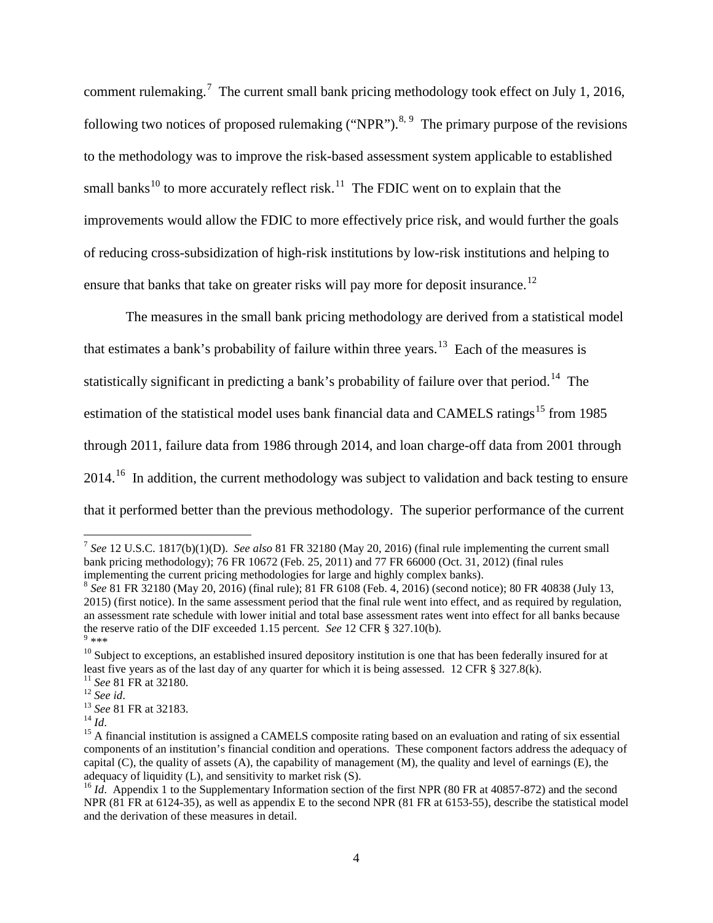comment rulemaking.<sup>[7](#page-3-0)</sup> The current small bank pricing methodology took effect on July 1, 2016, following two notices of proposed rulemaking ("NPR").<sup>[8,](#page-3-1) [9](#page-3-2)</sup> The primary purpose of the revisions to the methodology was to improve the risk-based assessment system applicable to established small banks<sup>[10](#page-3-3)</sup> to more accurately reflect risk.<sup>[11](#page-3-4)</sup> The FDIC went on to explain that the improvements would allow the FDIC to more effectively price risk, and would further the goals of reducing cross-subsidization of high-risk institutions by low-risk institutions and helping to ensure that banks that take on greater risks will pay more for deposit insurance.<sup>[12](#page-3-5)</sup>

The measures in the small bank pricing methodology are derived from a statistical model that estimates a bank's probability of failure within three years.<sup>[13](#page-3-6)</sup> Each of the measures is statistically significant in predicting a bank's probability of failure over that period.<sup>[14](#page-3-7)</sup> The estimation of the statistical model uses bank financial data and CAMELS ratings<sup>[15](#page-3-8)</sup> from 1985 through 2011, failure data from 1986 through 2014, and loan charge-off data from 2001 through 2014.<sup>16</sup> In addition, the current methodology was subject to validation and back testing to ensure that it performed better than the previous methodology. The superior performance of the current

<span id="page-3-0"></span> <sup>7</sup> *See* 12 U.S.C. 1817(b)(1)(D). *See also* 81 FR 32180 (May 20, 2016) (final rule implementing the current small bank pricing methodology); 76 FR 10672 (Feb. 25, 2011) and 77 FR 66000 (Oct. 31, 2012) (final rules implementing the current pricing methodologies for large and highly complex banks).

<span id="page-3-1"></span><sup>8</sup> *See* 81 FR 32180 (May 20, 2016) (final rule); 81 FR 6108 (Feb. 4, 2016) (second notice); 80 FR 40838 (July 13, 2015) (first notice). In the same assessment period that the final rule went into effect, and as required by regulation, an assessment rate schedule with lower initial and total base assessment rates went into effect for all banks because the reserve ratio of the DIF exceeded 1.15 percent. *See* 12 CFR § 327.10(b). 9 \*\*\*

<span id="page-3-3"></span><span id="page-3-2"></span><sup>&</sup>lt;sup>10</sup> Subject to exceptions, an established insured depository institution is one that has been federally insured for at least five years as of the last day of any quarter for which it is being assessed. 12 CFR  $\S$  327.8(k

<span id="page-3-6"></span>

<span id="page-3-8"></span><span id="page-3-7"></span>

<span id="page-3-5"></span><span id="page-3-4"></span><sup>&</sup>lt;sup>11</sup> See 81 FR at 32180.<br><sup>12</sup> See id.<br><sup>13</sup> See 81 FR at 32183.<br><sup>14</sup> Id.<br><sup>15</sup> A financial institution is assigned a CAMELS composite rating based on an evaluation and rating of six essential components of an institution's financial condition and operations. These component factors address the adequacy of capital (C), the quality of assets  $(A)$ , the capability of management  $(M)$ , the quality and level of earnings  $(E)$ , the adequacy of liquidity (L), and sensitivity to market risk (S).

<span id="page-3-9"></span><sup>&</sup>lt;sup>16</sup> *Id.* Appendix 1 to the Supplementary Information section of the first NPR (80 FR at 40857-872) and the second NPR (81 FR at 6124-35), as well as appendix E to the second NPR (81 FR at 6153-55), describe the statistical model and the derivation of these measures in detail.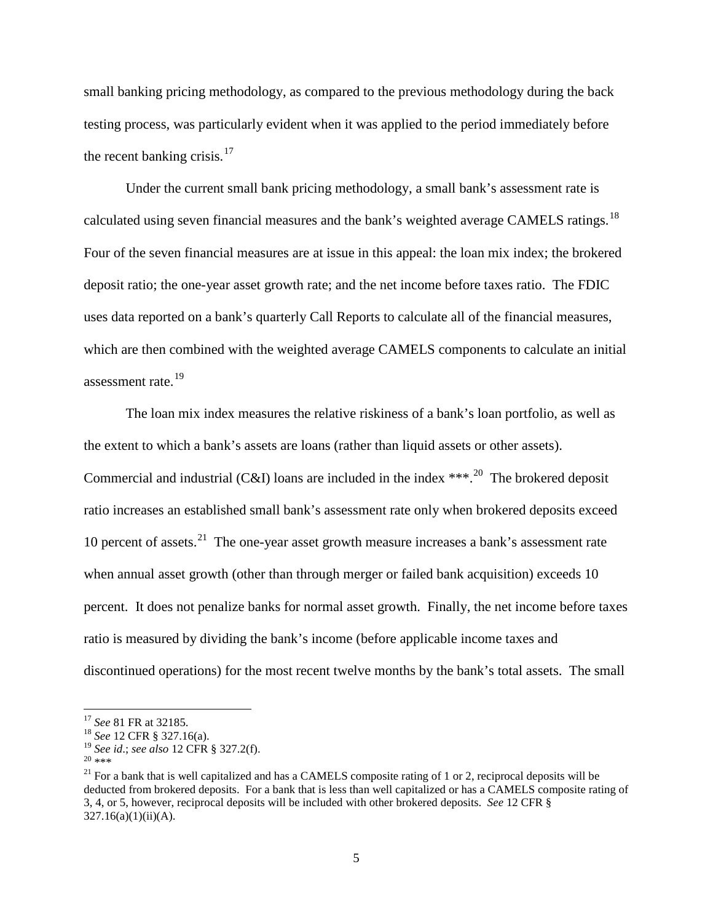small banking pricing methodology, as compared to the previous methodology during the back testing process, was particularly evident when it was applied to the period immediately before the recent banking crisis. $17$ 

Under the current small bank pricing methodology, a small bank's assessment rate is calculated using seven financial measures and the bank's weighted average CAMELS ratings.<sup>18</sup> Four of the seven financial measures are at issue in this appeal: the loan mix index; the brokered deposit ratio; the one-year asset growth rate; and the net income before taxes ratio. The FDIC uses data reported on a bank's quarterly Call Reports to calculate all of the financial measures, which are then combined with the weighted average CAMELS components to calculate an initial assessment rate. [19](#page-4-2)

The loan mix index measures the relative riskiness of a bank's loan portfolio, as well as the extent to which a bank's assets are loans (rather than liquid assets or other assets). Commercial and industrial (C&I) loans are included in the index  $***$ .<sup>20</sup> The brokered deposit ratio increases an established small bank's assessment rate only when brokered deposits exceed 10 percent of assets. $21$  The one-year asset growth measure increases a bank's assessment rate when annual asset growth (other than through merger or failed bank acquisition) exceeds 10 percent. It does not penalize banks for normal asset growth. Finally, the net income before taxes ratio is measured by dividing the bank's income (before applicable income taxes and discontinued operations) for the most recent twelve months by the bank's total assets. The small

<span id="page-4-1"></span>

<span id="page-4-0"></span><sup>&</sup>lt;sup>17</sup> *See* 81 FR at 32185.<br><sup>18</sup> *See* 12 CFR § 327.16(a).<br><sup>19</sup> *See id.; see also* 12 CFR § 327.2(f).

<span id="page-4-4"></span><span id="page-4-3"></span><span id="page-4-2"></span><sup>&</sup>lt;sup>20</sup> \*\*\*<br><sup>21</sup> For a bank that is well capitalized and has a CAMELS composite rating of 1 or 2, reciprocal deposits will be deducted from brokered deposits. For a bank that is less than well capitalized or has a CAMELS composite rating of 3, 4, or 5, however, reciprocal deposits will be included with other brokered deposits. *See* 12 CFR §  $327.16(a)(1)(ii)(A)$ .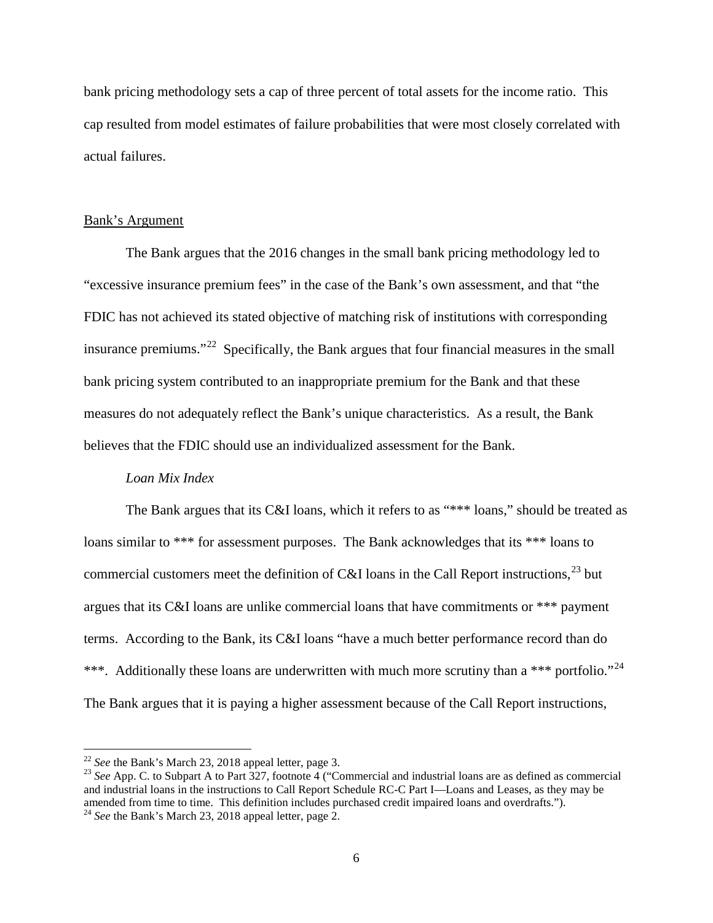bank pricing methodology sets a cap of three percent of total assets for the income ratio. This cap resulted from model estimates of failure probabilities that were most closely correlated with actual failures.

#### Bank's Argument

The Bank argues that the 2016 changes in the small bank pricing methodology led to "excessive insurance premium fees" in the case of the Bank's own assessment, and that "the FDIC has not achieved its stated objective of matching risk of institutions with corresponding insurance premiums."<sup>[22](#page-5-0)</sup> Specifically, the Bank argues that four financial measures in the small bank pricing system contributed to an inappropriate premium for the Bank and that these measures do not adequately reflect the Bank's unique characteristics. As a result, the Bank believes that the FDIC should use an individualized assessment for the Bank.

#### *Loan Mix Index*

The Bank argues that its C&I loans, which it refers to as "\*\*\* loans," should be treated as loans similar to \*\*\* for assessment purposes. The Bank acknowledges that its \*\*\* loans to commercial customers meet the definition of C&I loans in the Call Report instructions,  $^{23}$  $^{23}$  $^{23}$  but argues that its C&I loans are unlike commercial loans that have commitments or \*\*\* payment terms. According to the Bank, its C&I loans "have a much better performance record than do \*\*\*. Additionally these loans are underwritten with much more scrutiny than a \*\*\* portfolio."<sup>24</sup> The Bank argues that it is paying a higher assessment because of the Call Report instructions,

<span id="page-5-1"></span><span id="page-5-0"></span><sup>&</sup>lt;sup>22</sup> *See* the Bank's March 23, 2018 appeal letter, page 3.<br><sup>23</sup> *See* App. C. to Subpart A to Part 327, footnote 4 ("Commercial and industrial loans are as defined as commercial and industrial loans in the instructions to Call Report Schedule RC-C Part I—Loans and Leases, as they may be amended from time to time. This definition includes purchased credit impaired loans and overdrafts."). <sup>24</sup> *See* the Bank's March 23, 2018 appeal letter, page 2.

<span id="page-5-2"></span>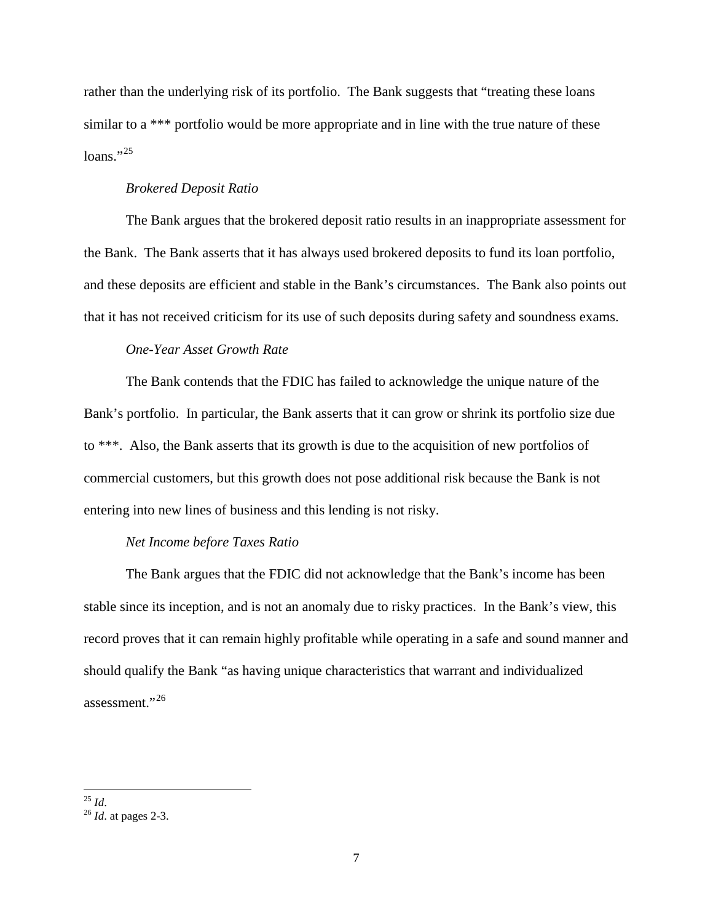rather than the underlying risk of its portfolio. The Bank suggests that "treating these loans similar to a \*\*\* portfolio would be more appropriate and in line with the true nature of these loans." $^{25}$  $^{25}$  $^{25}$ 

## *Brokered Deposit Ratio*

The Bank argues that the brokered deposit ratio results in an inappropriate assessment for the Bank. The Bank asserts that it has always used brokered deposits to fund its loan portfolio, and these deposits are efficient and stable in the Bank's circumstances. The Bank also points out that it has not received criticism for its use of such deposits during safety and soundness exams.

# *One-Year Asset Growth Rate*

The Bank contends that the FDIC has failed to acknowledge the unique nature of the Bank's portfolio. In particular, the Bank asserts that it can grow or shrink its portfolio size due to \*\*\*. Also, the Bank asserts that its growth is due to the acquisition of new portfolios of commercial customers, but this growth does not pose additional risk because the Bank is not entering into new lines of business and this lending is not risky.

## *Net Income before Taxes Ratio*

The Bank argues that the FDIC did not acknowledge that the Bank's income has been stable since its inception, and is not an anomaly due to risky practices. In the Bank's view, this record proves that it can remain highly profitable while operating in a safe and sound manner and should qualify the Bank "as having unique characteristics that warrant and individualized assessment."[26](#page-6-1)

<span id="page-6-1"></span><span id="page-6-0"></span><sup>25</sup> *Id*. <sup>26</sup> *Id*. at pages 2-3.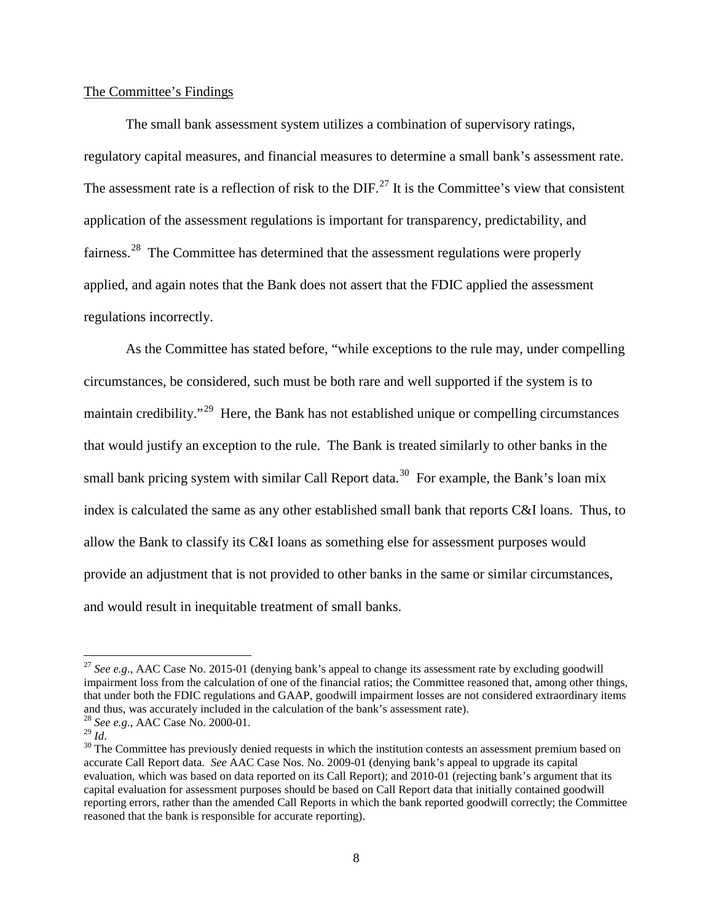## The Committee's Findings

The small bank assessment system utilizes a combination of supervisory ratings, regulatory capital measures, and financial measures to determine a small bank's assessment rate. The assessment rate is a reflection of risk to the  $DIF<sup>27</sup>$  $DIF<sup>27</sup>$  $DIF<sup>27</sup>$  It is the Committee's view that consistent application of the assessment regulations is important for transparency, predictability, and fairness.<sup>28</sup> The Committee has determined that the assessment regulations were properly applied, and again notes that the Bank does not assert that the FDIC applied the assessment regulations incorrectly.

As the Committee has stated before, "while exceptions to the rule may, under compelling circumstances, be considered, such must be both rare and well supported if the system is to maintain credibility."<sup>[29](#page-7-2)</sup> Here, the Bank has not established unique or compelling circumstances that would justify an exception to the rule. The Bank is treated similarly to other banks in the small bank pricing system with similar Call Report data.<sup>30</sup> For example, the Bank's loan mix index is calculated the same as any other established small bank that reports C&I loans. Thus, to allow the Bank to classify its C&I loans as something else for assessment purposes would provide an adjustment that is not provided to other banks in the same or similar circumstances, and would result in inequitable treatment of small banks.

<span id="page-7-0"></span><sup>&</sup>lt;sup>27</sup> See e.g., AAC Case No. 2015-01 (denying bank's appeal to change its assessment rate by excluding goodwill impairment loss from the calculation of one of the financial ratios; the Committee reasoned that, among other things, that under both the FDIC regulations and GAAP, goodwill impairment losses are not considered extraordinary items and thus, was accurately included in the calculation of the bank's assessment rate).<br><sup>28</sup> *See e.g.*, AAC Case No. 2000-01.<br><sup>29</sup> *Id.* 

<span id="page-7-1"></span>

<span id="page-7-2"></span>

<span id="page-7-3"></span><sup>&</sup>lt;sup>30</sup> The Committee has previously denied requests in which the institution contests an assessment premium based on accurate Call Report data. *See* AAC Case Nos. No. 2009-01 (denying bank's appeal to upgrade its capital evaluation, which was based on data reported on its Call Report); and 2010-01 (rejecting bank's argument that its capital evaluation for assessment purposes should be based on Call Report data that initially contained goodwill reporting errors, rather than the amended Call Reports in which the bank reported goodwill correctly; the Committee reasoned that the bank is responsible for accurate reporting).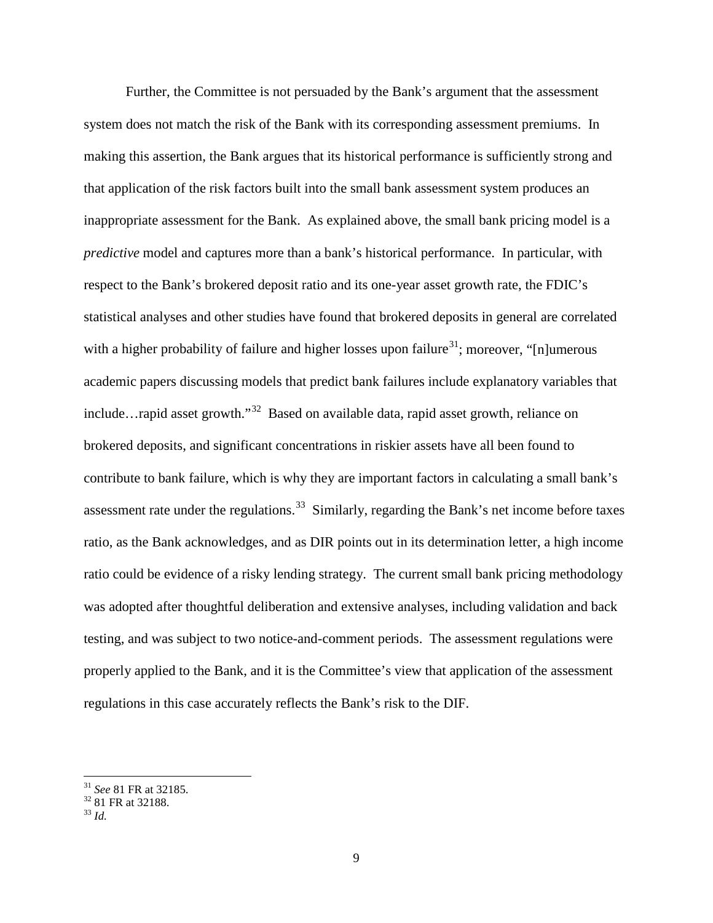Further, the Committee is not persuaded by the Bank's argument that the assessment system does not match the risk of the Bank with its corresponding assessment premiums. In making this assertion, the Bank argues that its historical performance is sufficiently strong and that application of the risk factors built into the small bank assessment system produces an inappropriate assessment for the Bank. As explained above, the small bank pricing model is a *predictive* model and captures more than a bank's historical performance. In particular, with respect to the Bank's brokered deposit ratio and its one-year asset growth rate, the FDIC's statistical analyses and other studies have found that brokered deposits in general are correlated with a higher probability of failure and higher losses upon failure<sup>[31](#page-8-0)</sup>; moreover, "[n]umerous academic papers discussing models that predict bank failures include explanatory variables that include…rapid asset growth."[32](#page-8-1) Based on available data, rapid asset growth, reliance on brokered deposits, and significant concentrations in riskier assets have all been found to contribute to bank failure, which is why they are important factors in calculating a small bank's assessment rate under the regulations.<sup>[33](#page-8-2)</sup> Similarly, regarding the Bank's net income before taxes ratio, as the Bank acknowledges, and as DIR points out in its determination letter, a high income ratio could be evidence of a risky lending strategy. The current small bank pricing methodology was adopted after thoughtful deliberation and extensive analyses, including validation and back testing, and was subject to two notice-and-comment periods. The assessment regulations were properly applied to the Bank, and it is the Committee's view that application of the assessment regulations in this case accurately reflects the Bank's risk to the DIF.

<span id="page-8-0"></span><sup>31</sup> *See* 81 FR at 32185. <sup>32</sup> 81 FR at 32188. <sup>33</sup> *Id.*

<span id="page-8-2"></span><span id="page-8-1"></span>